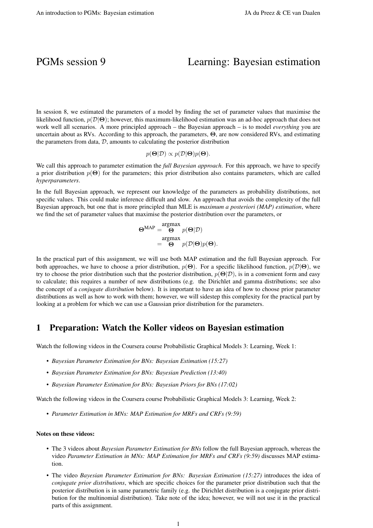# PGMs session 9 Learning: Bayesian estimation

In session 8, we estimated the parameters of a model by finding the set of parameter values that maximise the likelihood function,  $p(\mathcal{D}|\Theta)$ ; however, this maximum-likelihood estimation was an ad-hoc approach that does not work well all scenarios. A more principled approach – the Bayesian approach – is to model *everything* you are uncertain about as RVs. According to this approach, the parameters, Θ, are now considered RVs, and estimating the parameters from data,  $D$ , amounts to calculating the posterior distribution

$$
p(\mathbf{\Theta}|\mathcal{D}) \propto p(\mathcal{D}|\mathbf{\Theta})p(\mathbf{\Theta}).
$$

We call this approach to parameter estimation the *full Bayesian approach*. For this approach, we have to specify a prior distribution  $p(\Theta)$  for the parameters; this prior distribution also contains parameters, which are called *hyperparameters*.

In the full Bayesian approach, we represent our knowledge of the parameters as probability distributions, not specific values. This could make inference difficult and slow. An approach that avoids the complexity of the full Bayesian approach, but one that is more principled than MLE is *maximum a posteriori (MAP) estimation*, where we find the set of parameter values that maximise the posterior distribution over the parameters, or

$$
\Theta^{\text{MAP}} = \begin{pmatrix} \text{argmax} \\ \Theta & p(\Theta|\mathcal{D}) \\ \text{argmax} \\ = & \Theta & p(\mathcal{D}|\Theta)p(\Theta). \end{pmatrix}
$$

In the practical part of this assignment, we will use both MAP estimation and the full Bayesian approach. For both approaches, we have to choose a prior distribution,  $p(\Theta)$ . For a specific likelihood function,  $p(\mathcal{D}|\Theta)$ , we try to choose the prior distribution such that the posterior distribution,  $p(\Theta|\mathcal{D})$ , is in a convenient form and easy to calculate; this requires a number of new distributions (e.g. the Dirichlet and gamma distributions; see also the concept of a *conjugate distribution* below). It is important to have an idea of how to choose prior parameter distributions as well as how to work with them; however, we will sidestep this complexity for the practical part by looking at a problem for which we can use a Gaussian prior distribution for the parameters.

### 1 Preparation: Watch the Koller videos on Bayesian estimation

Watch the following videos in the Coursera course Probabilistic Graphical Models 3: Learning, Week 1:

- *Bayesian Parameter Estimation for BNs: Bayesian Estimation (15:27)*
- *Bayesian Parameter Estimation for BNs: Bayesian Prediction (13:40)*
- *Bayesian Parameter Estimation for BNs: Bayesian Priors for BNs (17:02)*

Watch the following videos in the Coursera course Probabilistic Graphical Models 3: Learning, Week 2:

• *Parameter Estimation in MNs: MAP Estimation for MRFs and CRFs (9:59)*

#### Notes on these videos:

- The 3 videos about *Bayesian Parameter Estimation for BNs* follow the full Bayesian approach, whereas the video *Parameter Estimation in MNs: MAP Estimation for MRFs and CRFs (9:59)* discusses MAP estimation.
- The video *Bayesian Parameter Estimation for BNs: Bayesian Estimation (15:27)* introduces the idea of *conjugate prior distributions*, which are specific choices for the parameter prior distribution such that the posterior distribution is in same parametric family (e.g. the Dirichlet distribution is a conjugate prior distribution for the multinomial distribution). Take note of the idea; however, we will not use it in the practical parts of this assignment.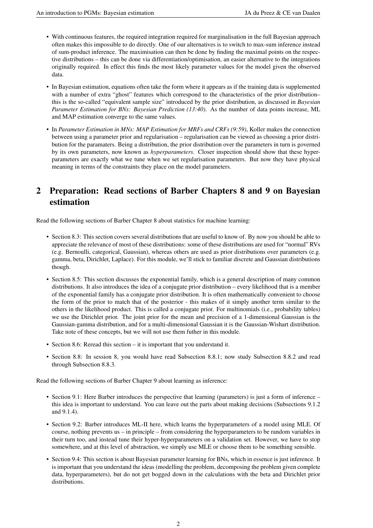- With continuous features, the required integration required for marginalisation in the full Bayesian approach often makes this impossible to do directly. One of our alternatives is to switch to max-sum inference instead of sum-product inference. The maximisation can then be done by finding the maximal points on the respective distributions – this can be done via differentiation/optimisation, an easier alternative to the integrations originally required. In effect this finds the most likely parameter values for the model given the observed data.
- In Bayesian estimation, equations often take the form where it appears as if the training data is supplemented with a number of extra "ghost" features which correspond to the characteristics of the prior distribution– this is the so-called "equivalent sample size" introduced by the prior distribution, as discussed in *Bayesian Parameter Estimation for BNs: Bayesian Prediction (13:40)*. As the number of data points increase, ML and MAP estimation converge to the same values.
- In *Parameter Estimation in MNs: MAP Estimation for MRFs and CRFs (9:59)*, Koller makes the connection between using a parameter prior and regularisation – regularisation can be viewed as choosing a prior distribution for the paramaters. Being a distribution, the prior distribution over the parameters in turn is governed by its own parameters, now known as *hyperparameters*. Closer inspection should show that these hyperparameters are exactly what we tune when we set regularisation parameters. But now they have physical meaning in terms of the constraints they place on the model parameters.

# 2 Preparation: Read sections of Barber Chapters 8 and 9 on Bayesian estimation

Read the following sections of Barber Chapter 8 about statistics for machine learning:

- Section 8.3: This section covers several distributions that are useful to know of. By now you should be able to appreciate the relevance of most of these distributions: some of these distributions are used for "normal" RVs (e.g. Bernoulli, categorical, Gaussian), whereas others are used as prior distributions over parameters (e.g. gamma, beta, Dirichlet, Laplace). For this module, we'll stick to familiar discrete and Gaussian distributions though.
- Section 8.5: This section discusses the exponential family, which is a general description of many common distributions. It also introduces the idea of a conjugate prior distribution – every likelihood that is a member of the exponential family has a conjugate prior distribution. It is often mathematically convenient to choose the form of the prior to match that of the posterior - this makes of it simply another term similar to the others in the likelihood product. This is called a conjugate prior. For multinomials (i.e., probability tables) we use the Dirichlet prior. The joint prior for the mean and precision of a 1-dimensional Gaussian is the Gaussian-gamma distribution, and for a multi-dimensional Gaussian it is the Gaussian-Wishart distribution. Take note of these concepts, but we will not use them futher in this module.
- Section 8.6: Reread this section it is important that you understand it.
- Section 8.8: In session 8, you would have read Subsection 8.8.1; now study Subsection 8.8.2 and read through Subsection 8.8.3.

Read the following sections of Barber Chapter 9 about learning as inference:

- Section 9.1: Here Barber introduces the perspective that learning (parameters) is just a form of inference this idea is important to understand. You can leave out the parts about making decisions (Subsections 9.1.2 and 9.1.4).
- Section 9.2: Barber introduces ML-II here, which learns the hyperparameters of a model using MLE. Of course, nothing prevents us – in principle – from considering the hyperparameters to be random variables in their turn too, and instead tune their hyper-hyperparameters on a validation set. However, we have to stop somewhere, and at this level of abstraction, we simply use MLE or choose them to be something sensible.
- Section 9.4: This section is about Bayesian parameter learning for BNs, which in essence is just inference. It is important that you understand the ideas (modelling the problem, decomposing the problem given complete data, hyperparameters), but do not get bogged down in the calculations with the beta and Dirichlet prior distributions.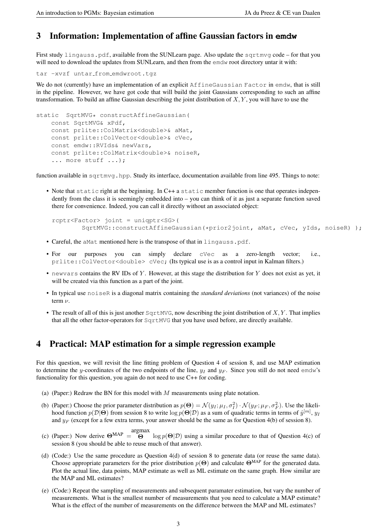# 3 Information: Implementation of affine Gaussian factors in **emdw**

First study lingauss.pdf, available from the SUNLearn page. Also update the sqrtmvg code – for that you will need to download the updates from SUNLearn, and then from the emdw root directory untar it with:

```
tar -xvzf untar from emdwroot.tgz
```
We do not (currently) have an implementation of an explicit AffineGaussian Factor in emdw, that is still in the pipeline. However, we have got code that will build the joint Gaussians corresponding to such an affine transformation. To build an affine Gaussian describing the joint distribution of  $X, Y$ , you will have to use the

```
static SqrtMVG* constructAffineGaussian (
const SqrtMVG& xPdf,
const prlite::ColMatrix<double>& aMat,
const prlite::ColVector<double>& cVec,
const emdw::RVIds& newVars,
const prlite::ColMatrix<double>& noiseR,
... more stuff ...);
```
function available in sqrtmvq.hpp. Study its interface, documentation available from line 495. Things to note:

• Note that static right at the beginning. In C++ a static member function is one that operates independently from the class it is seemingly embedded into – you can think of it as just a separate function saved there for convenience. Indeed, you can call it directly without an associated object:

```
rcptr<Factor> joint = uniqptr<SG>(
    SqrtMVG::constructAffineGaussian(*prior2joint, aMat, cVec, yIds, noiseR) );
```
- Careful, the aMat mentioned here is the transpose of that in lingauss.pdf.
- For our purposes you can simply declare cVec as a zero-length vector; i.e., prlite::ColVector<double> cVec; (Its typical use is as a control input in Kalman filters.)
- newvars contains the RV IDs of Y. However, at this stage the distribution for Y does not exist as yet, it will be created via this function as a part of the joint.
- In typical use noiseR is a diagonal matrix containing the *standard deviations* (not variances) of the noise term  $\nu$ .
- The result of all of this is just another  $SqrtMVG$ , now describing the joint distribution of  $X, Y$ . That implies that all the other factor-operators for SqrtMVG that you have used before, are directly available.

# <span id="page-2-0"></span>4 Practical: MAP estimation for a simple regression example

For this question, we will revisit the line fitting problem of Question 4 of session 8, and use MAP estimation to determine the y-coordinates of the two endpoints of the line,  $y_I$  and  $y_F$ . Since you still do not need emdw's functionality for this question, you again do not need to use C++ for coding.

- (a) (Paper:) Redraw the BN for this model with  $M$  measurements using plate notation.
- (b) (Paper:) Choose the prior parameter distribution as  $p(\Theta) = \mathcal{N}(y_I; \mu_I, \sigma_I^2) \cdot \mathcal{N}(y_F; \mu_F, \sigma_F^2)$ . Use the likelihood function  $p(\mathcal{D}|\Theta)$  from session 8 to write  $\log p(\Theta|\mathcal{D})$  as a sum of quadratic terms in terms of  $\hat{y}^{[m]},$   $y_I$ and  $y_F$  (except for a few extra terms, your answer should be the same as for Question 4(b) of session 8).
- (c) (Paper:) Now derive  $\Theta^{\text{MAP}} = \Theta$ argmax  $\log p(\Theta|\mathcal{D})$  using a similar procedure to that of Question 4(c) of session 8 (you should be able to reuse much of that answer).
- (d) (Code:) Use the same procedure as Question 4(d) of session 8 to generate data (or reuse the same data). Choose appropriate parameters for the prior distribution  $p(\Theta)$  and calculate  $\Theta^{\text{MAP}}$  for the generated data. Plot the actual line, data points, MAP estimate as well as ML estimate on the same graph. How similar are the MAP and ML estimates?
- (e) (Code:) Repeat the sampling of measurements and subsequent paramater estimation, but vary the number of measurements. What is the smallest number of measurements that you need to calculate a MAP estimate? What is the effect of the number of measurements on the difference between the MAP and ML estimates?